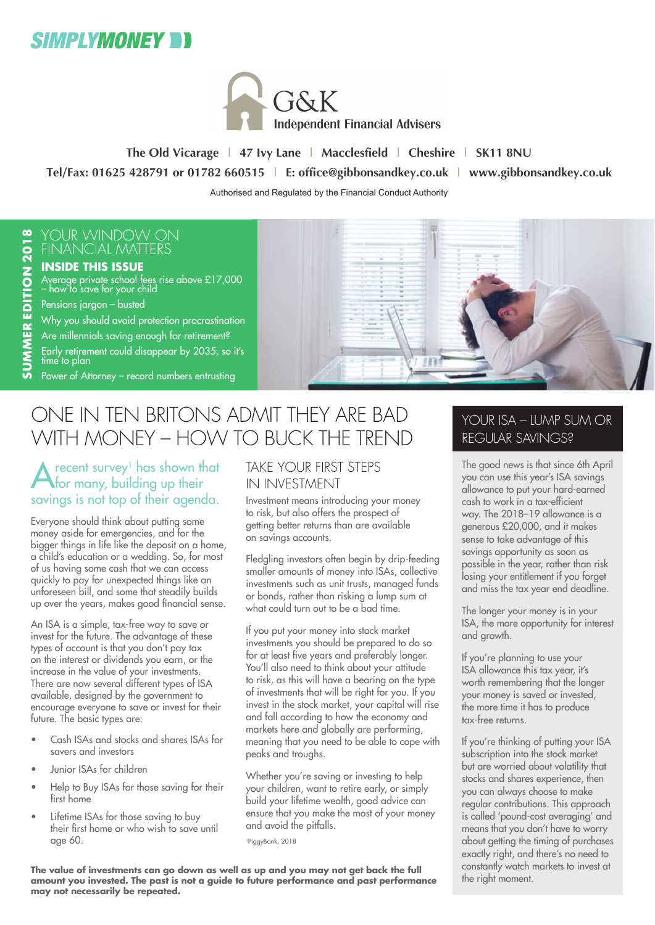



**The Old Vicarage | 47 Ivy Lane | Macclesfield | Cheshire | SK11 8NU Tel/Fax: 01625 428791 or 01782 660515 | E: office@gibbonsandkey.co.uk | www.gibbonsandkey.co.uk** Authorised and Regulated by the Financial Conduct Authority

#### YOUR WINDOW ON FINANCIAL MATTERS

#### **INSIDE THIS ISSUE**

Average private school fees rise above £17,000 – how to save for your child

Pensions jargon – busted Why you should avoid protection procrastination Are millennials saving enough for retirement? Early retirement could disappear by 2035, so it's time to plan

Power of Attorney – record numbers entrusting



### ONE IN TEN BRITONS ADMIT THEY ARE BAD WITH MONEY – HOW TO BUCK THE TREND

 $\bigwedge$  recent survey<sup>1</sup> has shown that for many, building up their savings is not top of their agenda.

Everyone should think about putting some money aside for emergencies, and for the bigger things in life like the deposit on a home, a child's education or a wedding. So, for most of us having some cash that we can access quickly to pay for unexpected things like an unforeseen bill, and some that steadily builds up over the years, makes good financial sense.

An ISA is a simple, tax-free way to save or invest for the future. The advantage of these types of account is that you don't pay tax on the interest or dividends you earn, or the increase in the value of your investments. There are now several different types of ISA available, designed by the government to encourage everyone to save or invest for their future. The basic types are:

- Cash ISAs and stocks and shares ISAs for savers and investors
- Junior ISAs for children
- Help to Buy ISAs for those saving for their first home
- Lifetime ISAs for those saving to buy their first home or who wish to save until age 60.

#### TAKE YOUR FIRST STEPS IN INVESTMENT

Investment means introducing your money to risk, but also offers the prospect of getting better returns than are available on savings accounts.

Fledgling investors often begin by drip-feeding smaller amounts of money into ISAs, collective investments such as unit trusts, managed funds or bonds, rather than risking a lump sum at what could turn out to be a bad time.

If you put your money into stock market investments you should be prepared to do so for at least five years and preferably longer. You'll also need to think about your attitude to risk, as this will have a bearing on the type of investments that will be right for you. If you invest in the stock market, your capital will rise and fall according to how the economy and markets here and globally are performing, meaning that you need to be able to cope with peaks and troughs.

Whether you're saving or investing to help your children, want to retire early, or simply build your lifetime wealth, good advice can ensure that you make the most of your money and avoid the pitfalls.

1PiggyBank, 2018

**The value of investments can go down as well as up and you may not get back the full amount you invested. The past is not a guide to future performance and past performance may not necessarily be repeated.**

#### YOUR ISA – LUMP SUM OR REGULAR SAVINGS?

The good news is that since 6th April you can use this year's ISA savings allowance to put your hard-earned cash to work in a tax-efficient way. The 2018–19 allowance is a generous £20,000, and it makes sense to take advantage of this savings opportunity as soon as possible in the year, rather than risk losing your entitlement if you forget and miss the tax year end deadline.

The longer your money is in your ISA, the more opportunity for interest and growth.

If you're planning to use your ISA allowance this tax year, it's worth remembering that the longer your money is saved or invested, the more time it has to produce tax-free returns.

If you're thinking of putting your ISA subscription into the stock market but are worried about volatility that stocks and shares experience, then you can always choose to make regular contributions. This approach is called 'pound-cost averaging' and means that you don't have to worry about getting the timing of purchases exactly right, and there's no need to constantly watch markets to invest at the right moment.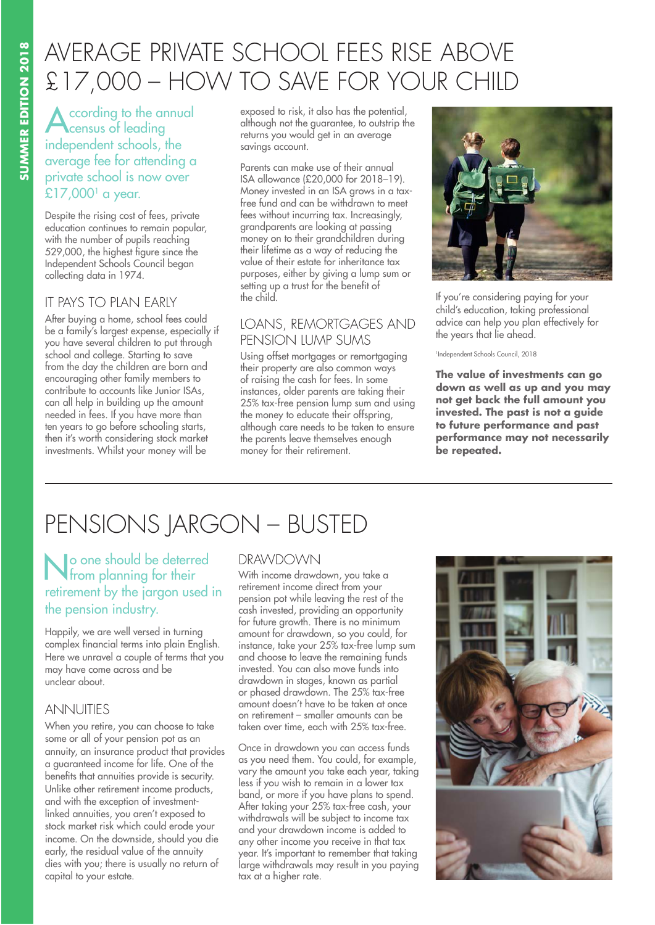## AVERAGE PRIVATE SCHOOL FEES RISE ABOVE £17,000 – HOW TO SAVE FOR YOUR CHILD

**A**ccording to the annual<br>
census of leading independent schools, the average fee for attending a private school is now over  $£17,000<sup>1</sup>$  a year.

Despite the rising cost of fees, private education continues to remain popular, with the number of pupils reaching 529,000, the highest figure since the Independent Schools Council began collecting data in 1974.

#### IT PAYS TO PLAN EARLY

After buying a home, school fees could be a family's largest expense, especially if you have several children to put through school and college. Starting to save from the day the children are born and encouraging other family members to contribute to accounts like Junior ISAs, can all help in building up the amount needed in fees. If you have more than ten years to go before schooling starts, then it's worth considering stock market investments. Whilst your money will be

exposed to risk, it also has the potential, although not the guarantee, to outstrip the returns you would get in an average savings account.

Parents can make use of their annual ISA allowance (£20,000 for 2018–19). Money invested in an ISA grows in a taxfree fund and can be withdrawn to meet fees without incurring tax. Increasingly, grandparents are looking at passing money on to their grandchildren during their lifetime as a way of reducing the value of their estate for inheritance tax purposes, either by giving a lump sum or setting up a trust for the benefit of the child.

#### LOANS, REMORTGAGES AND PENSION LUMP SUMS

Using offset mortgages or remortgaging their property are also common ways of raising the cash for fees. In some instances, older parents are taking their 25% tax-free pension lump sum and using the money to educate their offspring, although care needs to be taken to ensure the parents leave themselves enough money for their retirement.



If you're considering paying for your child's education, taking professional advice can help you plan effectively for the years that lie ahead.

1Independent Schools Council, 2018

**The value of investments can go down as well as up and you may not get back the full amount you invested. The past is not a guide to future performance and past performance may not necessarily be repeated.**

# PENSIONS JARGON – BUSTED

No one should be deterred from planning for their retirement by the jargon used in the pension industry.

Happily, we are well versed in turning complex financial terms into plain English. Here we unravel a couple of terms that you may have come across and be unclear about.

#### ANNUITIES

When you retire, you can choose to take some or all of your pension pot as an annuity, an insurance product that provides a guaranteed income for life. One of the benefits that annuities provide is security. Unlike other retirement income products, and with the exception of investmentlinked annuities, you aren't exposed to stock market risk which could erode your income. On the downside, should you die early, the residual value of the annuity dies with you; there is usually no return of capital to your estate.

#### DRAWDOWN

With income drawdown, you take a retirement income direct from your pension pot while leaving the rest of the cash invested, providing an opportunity for future growth. There is no minimum amount for drawdown, so you could, for instance, take your 25% tax-free lump sum and choose to leave the remaining funds invested. You can also move funds into drawdown in stages, known as partial or phased drawdown. The 25% tax-free amount doesn't have to be taken at once on retirement – smaller amounts can be taken over time, each with 25% tax-free.

Once in drawdown you can access funds as you need them. You could, for example, vary the amount you take each year, taking less if you wish to remain in a lower tax band, or more if you have plans to spend. After taking your 25% tax-free cash, your withdrawals will be subject to income tax and your drawdown income is added to any other income you receive in that tax year. It's important to remember that taking large withdrawals may result in you paying tax at a higher rate.

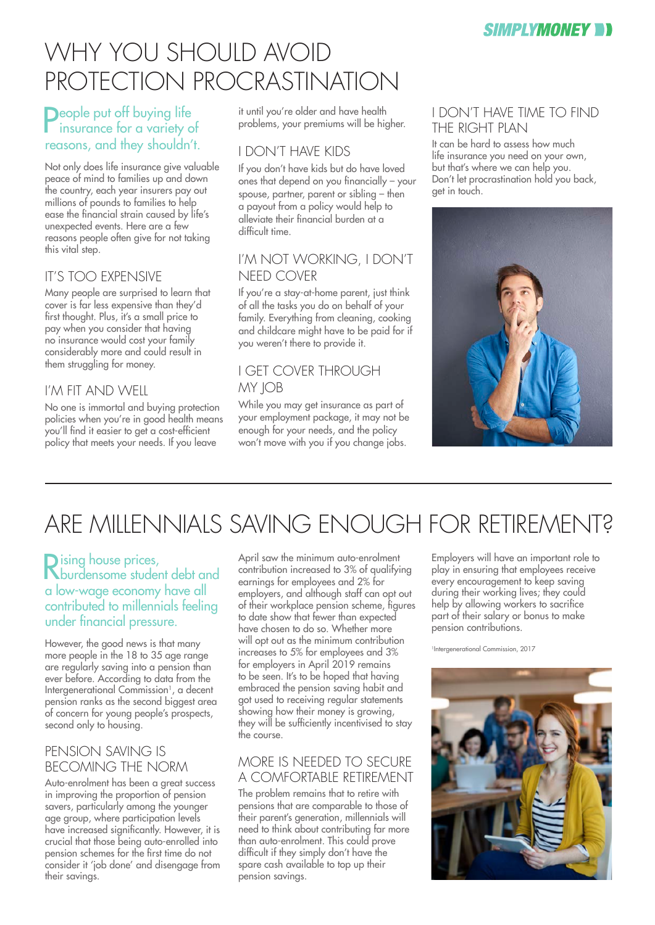

## WHY YOU SHOULD AVOID PROTECTION PROCRASTINATION

#### **Deople put off buying life insurance for a variety of** reasons, and they shouldn't.

Not only does life insurance give valuable peace of mind to families up and down the country, each year insurers pay out millions of pounds to families to help ease the financial strain caused by life's unexpected events. Here are a few reasons people often give for not taking this vital step.

#### IT'S TOO EXPENSIVE

Many people are surprised to learn that cover is far less expensive than they'd first thought. Plus, it's a small price to pay when you consider that having no insurance would cost your family considerably more and could result in them struggling for money.

#### I'M FIT AND WELL

No one is immortal and buying protection policies when you're in good health means you'll find it easier to get a cost-efficient policy that meets your needs. If you leave

it until you're older and have health problems, your premiums will be higher.

#### I DON'T HAVE KIDS

If you don't have kids but do have loved ones that depend on you financially – your spouse, partner, parent or sibling – then a payout from a policy would help to alleviate their financial burden at a difficult time.

#### I'M NOT WORKING, I DON'T NEED COVER

If you're a stay-at-home parent, just think of all the tasks you do on behalf of your family. Everything from cleaning, cooking and childcare might have to be paid for if you weren't there to provide it.

#### I GET COVER THROUGH MY **IOB**

While you may get insurance as part of your employment package, it may not be enough for your needs, and the policy won't move with you if you change jobs.

#### I DON'T HAVE TIME TO FIND THE RIGHT PLAN

It can be hard to assess how much life insurance you need on your own, but that's where we can help you. Don't let procrastination hold you back, get in touch.



## ARE MILLENNIALS SAVING ENOUGH FOR RETIREMENT?

#### Rising house prices, burdensome student debt and a low-wage economy have all contributed to millennials feeling under financial pressure.

However, the good news is that many more people in the 18 to 35 age range are regularly saving into a pension than ever before. According to data from the Intergenerational Commission<sup>1</sup>, a decent pension ranks as the second biggest area of concern for young people's prospects, second only to housing.

#### PENSION SAVING IS BECOMING THE NORM

Auto-enrolment has been a great success in improving the proportion of pension savers, particularly among the younger age group, where participation levels have increased significantly. However, it is crucial that those being auto-enrolled into pension schemes for the first time do not consider it 'job done' and disengage from their savings.

April saw the minimum auto-enrolment contribution increased to 3% of qualifying earnings for employees and 2% for employers, and although staff can opt out of their workplace pension scheme, figures to date show that fewer than expected have chosen to do so. Whether more will opt out as the minimum contribution increases to 5% for employees and 3% for employers in April 2019 remains to be seen. It's to be hoped that having embraced the pension saving habit and got used to receiving regular statements showing how their money is growing, they will be sufficiently incentivised to stay the course.

#### MORE IS NEEDED TO SECURE A COMFORTABLE RETIREMENT

The problem remains that to retire with pensions that are comparable to those of their parent's generation, millennials will need to think about contributing far more than auto-enrolment. This could prove difficult if they simply don't have the spare cash available to top up their pension savings.

Employers will have an important role to play in ensuring that employees receive every encouragement to keep saving during their working lives; they could help by allowing workers to sacrifice part of their salary or bonus to make pension contributions.

<sup>1</sup>Intergenerational Commission, 2017